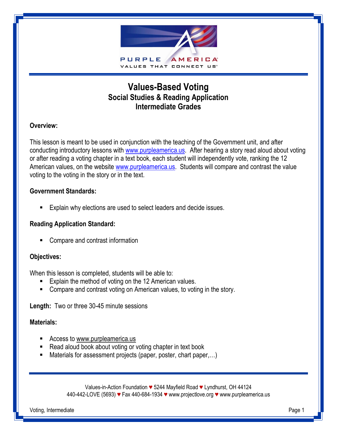

## **Values-Based Voting Social Studies & Reading Application Intermediate Grades**

#### **Overview:**

This lesson is meant to be used in conjunction with the teaching of the Government unit, and after conducting introductory lessons with [www.purpleamerica.us.](http://www.purpleamerica.us/) After hearing a story read aloud about voting or after reading a voting chapter in a text book, each student will independently vote, ranking the 12 American values, on the website [www.purpleamerica.us.](http://www.purpleamerica.us/) Students will compare and contrast the value voting to the voting in the story or in the text.

#### **Government Standards:**

Explain why elections are used to select leaders and decide issues.

### **Reading Application Standard:**

■ Compare and contrast information

#### **Objectives:**

When this lesson is completed, students will be able to:

- **Explain the method of voting on the 12 American values.**
- **EXTERGHTM** Compare and contrast voting on American values, to voting in the story.

**Length:** Two or three 30-45 minute sessions

#### **Materials:**

- Access to www.purpleamerica.us
- Read aloud book about voting or voting chapter in text book
- Materials for assessment projects (paper, poster, chart paper,...)

Values-in-Action Foundation *♥* 5244 Mayfield Road *♥* Lyndhurst, OH 44124 440-442-LOVE (5693) *♥* Fax 440-684-1934 *♥* www.projectlove.org *♥* www.purpleamerica.us

Voting, Intermediate Page 1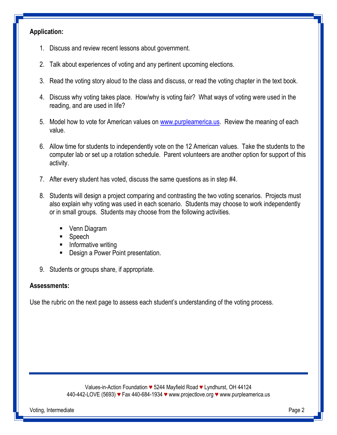## **Application:**

- 1. Discuss and review recent lessons about government.
- 2. Talk about experiences of voting and any pertinent upcoming elections.
- 3. Read the voting story aloud to the class and discuss, or read the voting chapter in the text book.
- 4. Discuss why voting takes place. How/why is voting fair? What ways of voting were used in the reading, and are used in life?
- 5. Model how to vote for American values on [www.purpleamerica.us.](http://www.purpleamerica.us/) Review the meaning of each value.
- 6. Allow time for students to independently vote on the 12 American values. Take the students to the computer lab or set up a rotation schedule. Parent volunteers are another option for support of this activity.
- 7. After every student has voted, discuss the same questions as in step #4.
- 8. Students will design a project comparing and contrasting the two voting scenarios. Projects must also explain why voting was used in each scenario. Students may choose to work independently or in small groups. Students may choose from the following activities.
	- Venn Diagram
	- Speech
	- **Informative writing**
	- **-** Design a Power Point presentation.
- 9. Students or groups share, if appropriate.

#### **Assessments:**

Use the rubric on the next page to assess each student's understanding of the voting process.